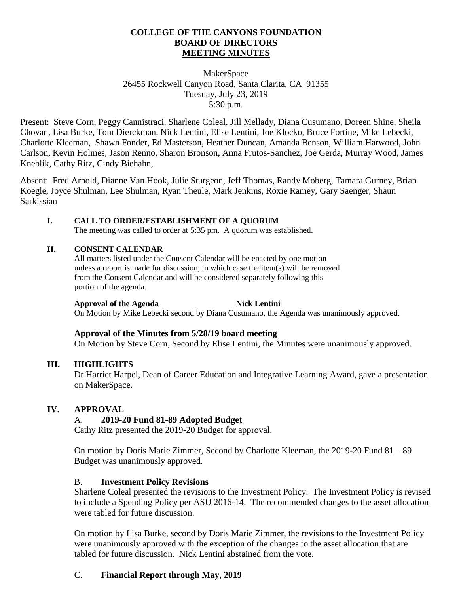#### **COLLEGE OF THE CANYONS FOUNDATION BOARD OF DIRECTORS MEETING MINUTES**

#### MakerSpace 26455 Rockwell Canyon Road, Santa Clarita, CA 91355 Tuesday, July 23, 2019 5:30 p.m.

Present: Steve Corn, Peggy Cannistraci, Sharlene Coleal, Jill Mellady, Diana Cusumano, Doreen Shine, Sheila Chovan, Lisa Burke, Tom Dierckman, Nick Lentini, Elise Lentini, Joe Klocko, Bruce Fortine, Mike Lebecki, Charlotte Kleeman, Shawn Fonder, Ed Masterson, Heather Duncan, Amanda Benson, William Harwood, John Carlson, Kevin Holmes, Jason Renno, Sharon Bronson, Anna Frutos-Sanchez, Joe Gerda, Murray Wood, James Kneblik, Cathy Ritz, Cindy Biehahn,

Absent: Fred Arnold, Dianne Van Hook, Julie Sturgeon, Jeff Thomas, Randy Moberg, Tamara Gurney, Brian Koegle, Joyce Shulman, Lee Shulman, Ryan Theule, Mark Jenkins, Roxie Ramey, Gary Saenger, Shaun Sarkissian

## **I. CALL TO ORDER/ESTABLISHMENT OF A QUORUM**

The meeting was called to order at 5:35 pm. A quorum was established.

## **II. CONSENT CALENDAR**

All matters listed under the Consent Calendar will be enacted by one motion unless a report is made for discussion, in which case the item(s) will be removed from the Consent Calendar and will be considered separately following this portion of the agenda.

#### **Approval of the Agenda Nick Lentini**

On Motion by Mike Lebecki second by Diana Cusumano, the Agenda was unanimously approved.

## **Approval of the Minutes from 5/28/19 board meeting**

On Motion by Steve Corn, Second by Elise Lentini, the Minutes were unanimously approved.

## **III. HIGHLIGHTS**

Dr Harriet Harpel, Dean of Career Education and Integrative Learning Award, gave a presentation on MakerSpace.

## **IV. APPROVAL**

# A. **2019-20 Fund 81-89 Adopted Budget**

Cathy Ritz presented the 2019-20 Budget for approval.

On motion by Doris Marie Zimmer, Second by Charlotte Kleeman, the 2019-20 Fund 81 – 89 Budget was unanimously approved.

## B. **Investment Policy Revisions**

Sharlene Coleal presented the revisions to the Investment Policy. The Investment Policy is revised to include a Spending Policy per ASU 2016-14. The recommended changes to the asset allocation were tabled for future discussion.

On motion by Lisa Burke, second by Doris Marie Zimmer, the revisions to the Investment Policy were unanimously approved with the exception of the changes to the asset allocation that are tabled for future discussion. Nick Lentini abstained from the vote.

## C. **Financial Report through May, 2019**